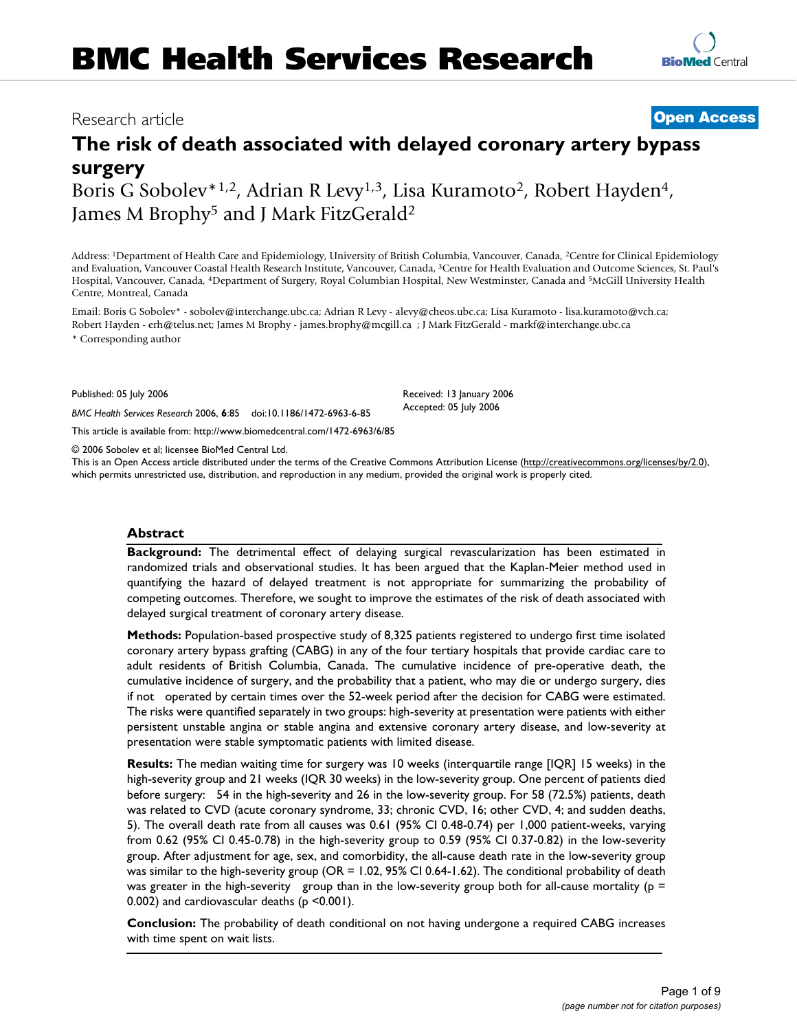## Research article **[Open Access](http://www.biomedcentral.com/info/about/charter/)**

# **The risk of death associated with delayed coronary artery bypass surgery** Boris G Sobolev<sup>\*1,2</sup>, Adrian R Levy<sup>1,3</sup>, Lisa Kuramoto<sup>2</sup>, Robert Hayden<sup>4</sup>,

James M Brophy<sup>5</sup> and J Mark FitzGerald<sup>2</sup>

Address: 1Department of Health Care and Epidemiology, University of British Columbia, Vancouver, Canada, 2Centre for Clinical Epidemiology and Evaluation, Vancouver Coastal Health Research Institute, Vancouver, Canada, 3Centre for Health Evaluation and Outcome Sciences, St. Paul's Hospital, Vancouver, Canada, 4Department of Surgery, Royal Columbian Hospital, New Westminster, Canada and 5McGill University Health Centre, Montreal, Canada

Email: Boris G Sobolev\* - sobolev@interchange.ubc.ca; Adrian R Levy - alevy@cheos.ubc.ca; Lisa Kuramoto - lisa.kuramoto@vch.ca; Robert Hayden - erh@telus.net; James M Brophy - james.brophy@mcgill.ca ; J Mark FitzGerald - markf@interchange.ubc.ca

\* Corresponding author

Published: 05 July 2006

*BMC Health Services Research* 2006, **6**:85 doi:10.1186/1472-6963-6-85

[This article is available from: http://www.biomedcentral.com/1472-6963/6/85](http://www.biomedcentral.com/1472-6963/6/85)

© 2006 Sobolev et al; licensee BioMed Central Ltd.

This is an Open Access article distributed under the terms of the Creative Commons Attribution License [\(http://creativecommons.org/licenses/by/2.0\)](http://creativecommons.org/licenses/by/2.0), which permits unrestricted use, distribution, and reproduction in any medium, provided the original work is properly cited.

Received: 13 January 2006 Accepted: 05 July 2006

### **Abstract**

**Background:** The detrimental effect of delaying surgical revascularization has been estimated in randomized trials and observational studies. It has been argued that the Kaplan-Meier method used in quantifying the hazard of delayed treatment is not appropriate for summarizing the probability of competing outcomes. Therefore, we sought to improve the estimates of the risk of death associated with delayed surgical treatment of coronary artery disease.

**Methods:** Population-based prospective study of 8,325 patients registered to undergo first time isolated coronary artery bypass grafting (CABG) in any of the four tertiary hospitals that provide cardiac care to adult residents of British Columbia, Canada. The cumulative incidence of pre-operative death, the cumulative incidence of surgery, and the probability that a patient, who may die or undergo surgery, dies if not operated by certain times over the 52-week period after the decision for CABG were estimated. The risks were quantified separately in two groups: high-severity at presentation were patients with either persistent unstable angina or stable angina and extensive coronary artery disease, and low-severity at presentation were stable symptomatic patients with limited disease.

**Results:** The median waiting time for surgery was 10 weeks (interquartile range [IQR] 15 weeks) in the high-severity group and 21 weeks (IQR 30 weeks) in the low-severity group. One percent of patients died before surgery: 54 in the high-severity and 26 in the low-severity group. For 58 (72.5%) patients, death was related to CVD (acute coronary syndrome, 33; chronic CVD, 16; other CVD, 4; and sudden deaths, 5). The overall death rate from all causes was 0.61 (95% CI 0.48-0.74) per 1,000 patient-weeks, varying from 0.62 (95% CI 0.45-0.78) in the high-severity group to 0.59 (95% CI 0.37-0.82) in the low-severity group. After adjustment for age, sex, and comorbidity, the all-cause death rate in the low-severity group was similar to the high-severity group (OR = 1.02, 95% CI 0.64-1.62). The conditional probability of death was greater in the high-severity group than in the low-severity group both for all-cause mortality ( $p =$ 0.002) and cardiovascular deaths (p <0.001).

**Conclusion:** The probability of death conditional on not having undergone a required CABG increases with time spent on wait lists.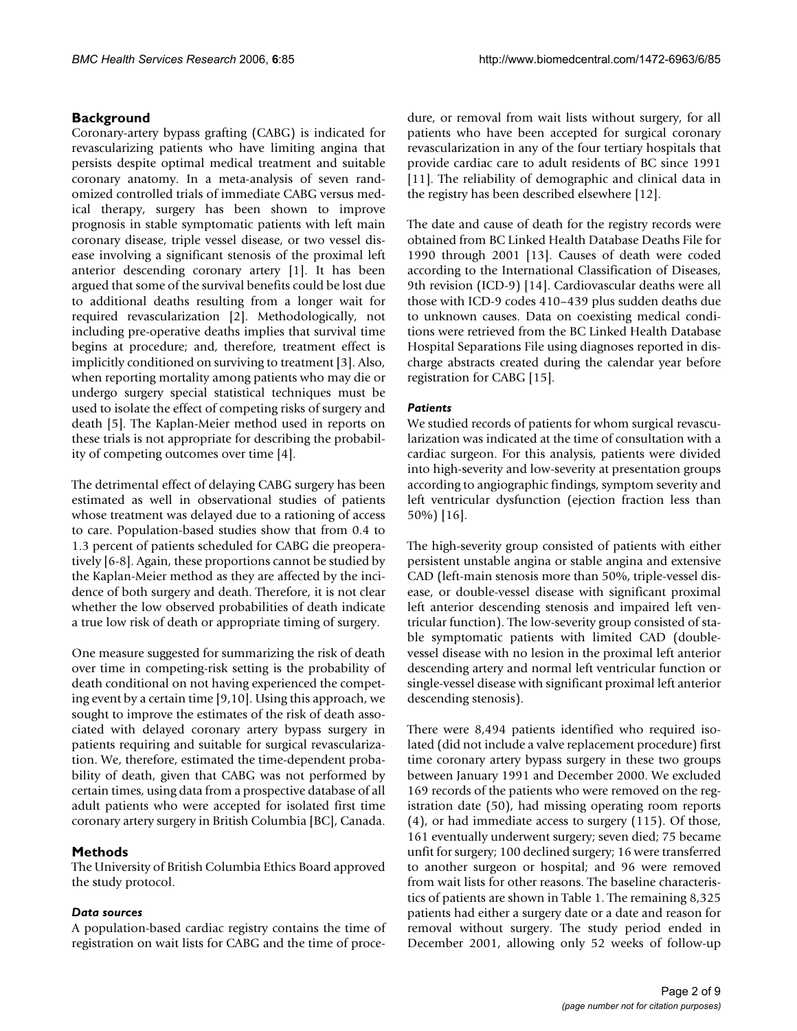#### **Background**

Coronary-artery bypass grafting (CABG) is indicated for revascularizing patients who have limiting angina that persists despite optimal medical treatment and suitable coronary anatomy. In a meta-analysis of seven randomized controlled trials of immediate CABG versus medical therapy, surgery has been shown to improve prognosis in stable symptomatic patients with left main coronary disease, triple vessel disease, or two vessel disease involving a significant stenosis of the proximal left anterior descending coronary artery [1]. It has been argued that some of the survival benefits could be lost due to additional deaths resulting from a longer wait for required revascularization [2]. Methodologically, not including pre-operative deaths implies that survival time begins at procedure; and, therefore, treatment effect is implicitly conditioned on surviving to treatment [3]. Also, when reporting mortality among patients who may die or undergo surgery special statistical techniques must be used to isolate the effect of competing risks of surgery and death [5]. The Kaplan-Meier method used in reports on these trials is not appropriate for describing the probability of competing outcomes over time [4].

The detrimental effect of delaying CABG surgery has been estimated as well in observational studies of patients whose treatment was delayed due to a rationing of access to care. Population-based studies show that from 0.4 to 1.3 percent of patients scheduled for CABG die preoperatively [6-8]. Again, these proportions cannot be studied by the Kaplan-Meier method as they are affected by the incidence of both surgery and death. Therefore, it is not clear whether the low observed probabilities of death indicate a true low risk of death or appropriate timing of surgery.

One measure suggested for summarizing the risk of death over time in competing-risk setting is the probability of death conditional on not having experienced the competing event by a certain time [9,10]. Using this approach, we sought to improve the estimates of the risk of death associated with delayed coronary artery bypass surgery in patients requiring and suitable for surgical revascularization. We, therefore, estimated the time-dependent probability of death, given that CABG was not performed by certain times, using data from a prospective database of all adult patients who were accepted for isolated first time coronary artery surgery in British Columbia [BC], Canada.

#### **Methods**

The University of British Columbia Ethics Board approved the study protocol.

#### *Data sources*

A population-based cardiac registry contains the time of registration on wait lists for CABG and the time of procedure, or removal from wait lists without surgery, for all patients who have been accepted for surgical coronary revascularization in any of the four tertiary hospitals that provide cardiac care to adult residents of BC since 1991 [11]. The reliability of demographic and clinical data in the registry has been described elsewhere [12].

The date and cause of death for the registry records were obtained from BC Linked Health Database Deaths File for 1990 through 2001 [13]. Causes of death were coded according to the International Classification of Diseases, 9th revision (ICD-9) [14]. Cardiovascular deaths were all those with ICD-9 codes 410–439 plus sudden deaths due to unknown causes. Data on coexisting medical conditions were retrieved from the BC Linked Health Database Hospital Separations File using diagnoses reported in discharge abstracts created during the calendar year before registration for CABG [15].

#### *Patients*

We studied records of patients for whom surgical revascularization was indicated at the time of consultation with a cardiac surgeon. For this analysis, patients were divided into high-severity and low-severity at presentation groups according to angiographic findings, symptom severity and left ventricular dysfunction (ejection fraction less than 50%) [16].

The high-severity group consisted of patients with either persistent unstable angina or stable angina and extensive CAD (left-main stenosis more than 50%, triple-vessel disease, or double-vessel disease with significant proximal left anterior descending stenosis and impaired left ventricular function). The low-severity group consisted of stable symptomatic patients with limited CAD (doublevessel disease with no lesion in the proximal left anterior descending artery and normal left ventricular function or single-vessel disease with significant proximal left anterior descending stenosis).

There were 8,494 patients identified who required isolated (did not include a valve replacement procedure) first time coronary artery bypass surgery in these two groups between January 1991 and December 2000. We excluded 169 records of the patients who were removed on the registration date (50), had missing operating room reports (4), or had immediate access to surgery (115). Of those, 161 eventually underwent surgery; seven died; 75 became unfit for surgery; 100 declined surgery; 16 were transferred to another surgeon or hospital; and 96 were removed from wait lists for other reasons. The baseline characteristics of patients are shown in Table 1. The remaining 8,325 patients had either a surgery date or a date and reason for removal without surgery. The study period ended in December 2001, allowing only 52 weeks of follow-up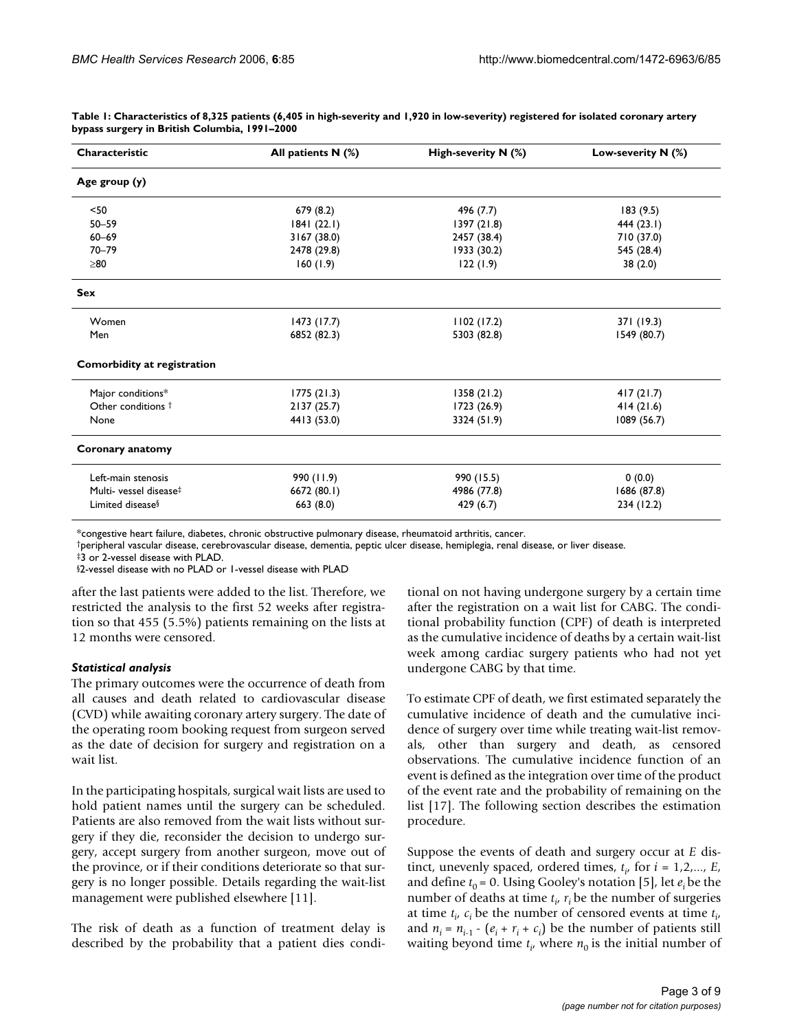| Characteristic                | All patients N (%) | High-severity N (%) | Low-severity N (%) |
|-------------------------------|--------------------|---------------------|--------------------|
| Age group (y)                 |                    |                     |                    |
| $50$                          | 679(8.2)           | 496 (7.7)           | 183(9.5)           |
| $50 - 59$                     | 1841(22.1)         | 1397 (21.8)         | 444(23.1)          |
| $60 - 69$                     | 3167 (38.0)        | 2457 (38.4)         | 710 (37.0)         |
| $70 - 79$                     | 2478 (29.8)        | 1933 (30.2)         | 545 (28.4)         |
| $\geq 80$                     | 160(1.9)           | 122(1.9)            | 38(2.0)            |
| Sex                           |                    |                     |                    |
| Women                         | 1473 (17.7)        | 1102(17.2)          | 371 (19.3)         |
| Men                           | 6852 (82.3)        | 5303 (82.8)         | 1549 (80.7)        |
| Comorbidity at registration   |                    |                     |                    |
| Major conditions*             | 1775(21.3)         | 1358(21.2)          | 417(21.7)          |
| Other conditions <sup>†</sup> | 2137(25.7)         | 1723 (26.9)         | 414(21.6)          |
| None                          | 4413 (53.0)        | 3324 (51.9)         | 1089 (56.7)        |
| Coronary anatomy              |                    |                     |                    |
| Left-main stenosis            | 990 (11.9)         | 990 (15.5)          | 0(0.0)             |
| Multi- vessel disease‡        | 6672 (80.1)        | 4986 (77.8)         | 1686 (87.8)        |
| Limited disease <sup>§</sup>  | 663 (8.0)          | 429 (6.7)           | 234 (12.2)         |

**Table 1: Characteristics of 8,325 patients (6,405 in high-severity and 1,920 in low-severity) registered for isolated coronary artery bypass surgery in British Columbia, 1991–2000**

\*congestive heart failure, diabetes, chronic obstructive pulmonary disease, rheumatoid arthritis, cancer.

†peripheral vascular disease, cerebrovascular disease, dementia, peptic ulcer disease, hemiplegia, renal disease, or liver disease.

‡3 or 2-vessel disease with PLAD.

§2-vessel disease with no PLAD or 1-vessel disease with PLAD

after the last patients were added to the list. Therefore, we restricted the analysis to the first 52 weeks after registration so that 455 (5.5%) patients remaining on the lists at 12 months were censored.

#### *Statistical analysis*

The primary outcomes were the occurrence of death from all causes and death related to cardiovascular disease (CVD) while awaiting coronary artery surgery. The date of the operating room booking request from surgeon served as the date of decision for surgery and registration on a wait list.

In the participating hospitals, surgical wait lists are used to hold patient names until the surgery can be scheduled. Patients are also removed from the wait lists without surgery if they die, reconsider the decision to undergo surgery, accept surgery from another surgeon, move out of the province, or if their conditions deteriorate so that surgery is no longer possible. Details regarding the wait-list management were published elsewhere [11].

The risk of death as a function of treatment delay is described by the probability that a patient dies conditional on not having undergone surgery by a certain time after the registration on a wait list for CABG. The conditional probability function (CPF) of death is interpreted as the cumulative incidence of deaths by a certain wait-list week among cardiac surgery patients who had not yet undergone CABG by that time.

To estimate CPF of death, we first estimated separately the cumulative incidence of death and the cumulative incidence of surgery over time while treating wait-list removals, other than surgery and death, as censored observations. The cumulative incidence function of an event is defined as the integration over time of the product of the event rate and the probability of remaining on the list [17]. The following section describes the estimation procedure.

Suppose the events of death and surgery occur at *E* distinct, unevenly spaced, ordered times,  $t_i$ , for  $i = 1, 2, ..., E$ , and define  $t_0 = 0$ . Using Gooley's notation [5], let  $e_i$  be the number of deaths at time  $t_i$ ,  $r_i$  be the number of surgeries at time  $t_i$ ,  $c_i$  be the number of censored events at time  $t_i$ , and  $n_i = n_{i-1} - (e_i + r_i + c_i)$  be the number of patients still waiting beyond time  $t_{i'}$  where  $n_0$  is the initial number of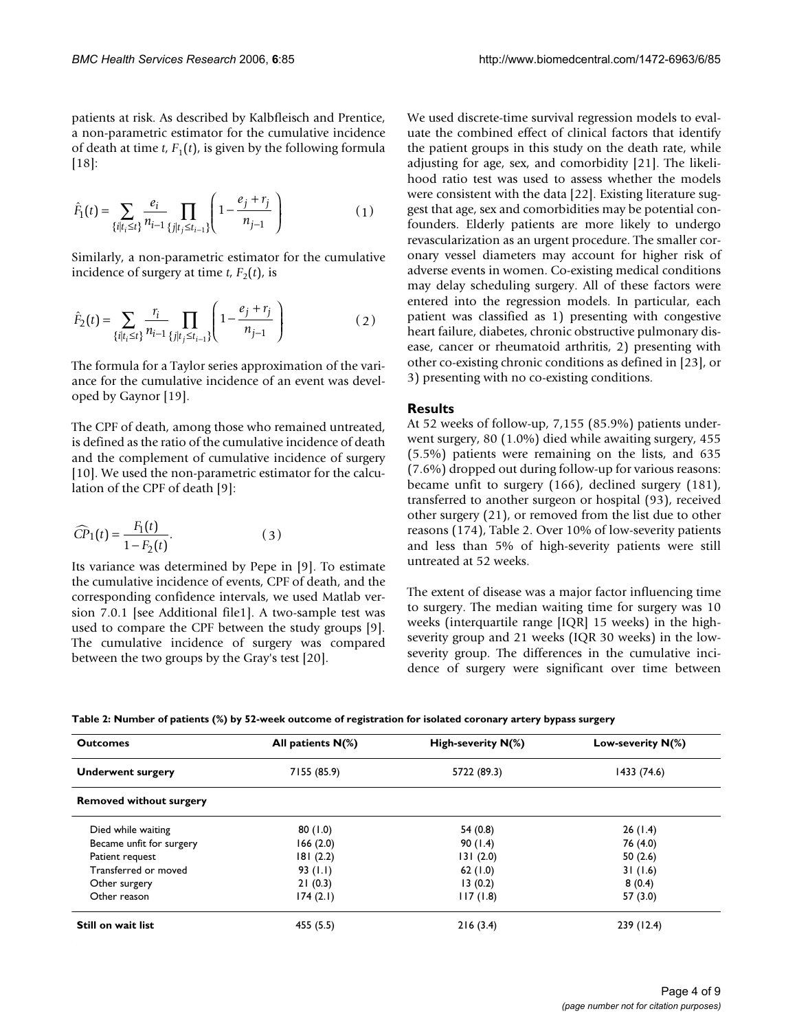patients at risk. As described by Kalbfleisch and Prentice, a non-parametric estimator for the cumulative incidence of death at time *t*,  $F_1(t)$ , is given by the following formula [18]:

$$
\hat{F}_1(t) = \sum_{\{i|t_i \le t\}} \frac{e_i}{n_{i-1}} \prod_{\{j|t_j \le t_{i-1}\}} \left(1 - \frac{e_j + r_j}{n_{j-1}}\right)
$$
(1)

Similarly, a non-parametric estimator for the cumulative incidence of surgery at time  $t$ ,  $F_2(t)$ , is

$$
\hat{F}_2(t) = \sum_{\{i|t_i \le t\}} \frac{r_i}{n_{i-1}} \prod_{\{j|t_j \le t_{i-1}\}} \left(1 - \frac{e_j + r_j}{n_{j-1}}\right)
$$
(2)

The formula for a Taylor series approximation of the variance for the cumulative incidence of an event was developed by Gaynor [19].

The CPF of death, among those who remained untreated, is defined as the ratio of the cumulative incidence of death and the complement of cumulative incidence of surgery [10]. We used the non-parametric estimator for the calculation of the CPF of death [9]:

$$
\widehat{CP}_1(t) = \frac{F_1(t)}{1 - F_2(t)}.
$$
 (3)

Its variance was determined by Pepe in [9]. To estimate the cumulative incidence of events, CPF of death, and the corresponding confidence intervals, we used Matlab version 7.0.1 [see Additional file1]. A two-sample test was used to compare the CPF between the study groups [9]. The cumulative incidence of surgery was compared between the two groups by the Gray's test [20].

We used discrete-time survival regression models to evaluate the combined effect of clinical factors that identify the patient groups in this study on the death rate, while adjusting for age, sex, and comorbidity [21]. The likelihood ratio test was used to assess whether the models were consistent with the data [22]. Existing literature suggest that age, sex and comorbidities may be potential confounders. Elderly patients are more likely to undergo revascularization as an urgent procedure. The smaller coronary vessel diameters may account for higher risk of adverse events in women. Co-existing medical conditions may delay scheduling surgery. All of these factors were entered into the regression models. In particular, each patient was classified as 1) presenting with congestive heart failure, diabetes, chronic obstructive pulmonary disease, cancer or rheumatoid arthritis, 2) presenting with other co-existing chronic conditions as defined in [23], or 3) presenting with no co-existing conditions.

#### **Results**

At 52 weeks of follow-up, 7,155 (85.9%) patients underwent surgery, 80 (1.0%) died while awaiting surgery, 455 (5.5%) patients were remaining on the lists, and 635 (7.6%) dropped out during follow-up for various reasons: became unfit to surgery (166), declined surgery (181), transferred to another surgeon or hospital (93), received other surgery (21), or removed from the list due to other reasons (174), Table 2. Over 10% of low-severity patients and less than 5% of high-severity patients were still untreated at 52 weeks.

The extent of disease was a major factor influencing time to surgery. The median waiting time for surgery was 10 weeks (interquartile range [IQR] 15 weeks) in the highseverity group and 21 weeks (IQR 30 weeks) in the lowseverity group. The differences in the cumulative incidence of surgery were significant over time between

**Table 2: Number of patients (%) by 52-week outcome of registration for isolated coronary artery bypass surgery**

| <b>Outcomes</b>                | All patients N(%) | High-severity N(%) | Low-severity N(%) |
|--------------------------------|-------------------|--------------------|-------------------|
| <b>Underwent surgery</b>       | 7155 (85.9)       | 5722 (89.3)        | 1433 (74.6)       |
| <b>Removed without surgery</b> |                   |                    |                   |
| Died while waiting             | 80(1.0)           | 54(0.8)            | 26(1.4)           |
| Became unfit for surgery       | 166(2.0)          | 90(1.4)            | 76 (4.0)          |
| Patient request                | 181(2.2)          | 131(2.0)           | 50(2.6)           |
| Transferred or moved           | 93(1.1)           | 62 $(1.0)$         | 31(1.6)           |
| Other surgery                  | 21(0.3)           | 13(0.2)            | 8(0.4)            |
| Other reason                   | 174(2.1)          | 117(1.8)           | 57(3.0)           |
| Still on wait list             | 455 (5.5)         | 216(3.4)           | 239 (12.4)        |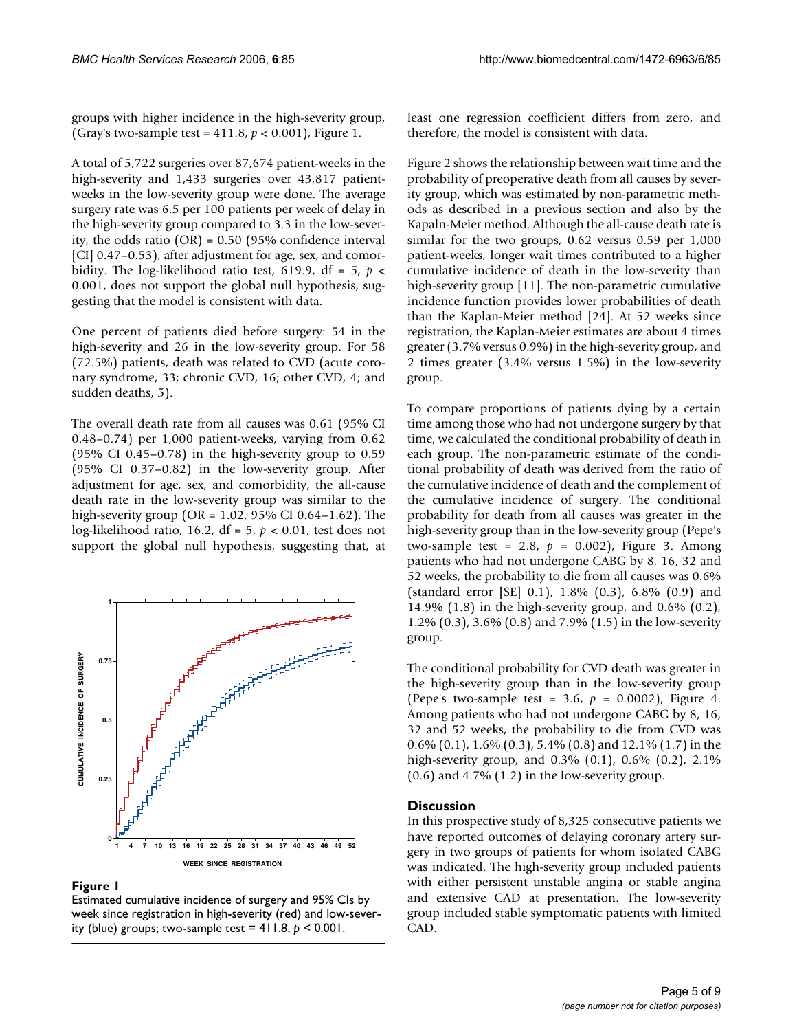groups with higher incidence in the high-severity group, (Gray's two-sample test = 411.8, *p* < 0.001), Figure 1.

A total of 5,722 surgeries over 87,674 patient-weeks in the high-severity and 1,433 surgeries over 43,817 patientweeks in the low-severity group were done. The average surgery rate was 6.5 per 100 patients per week of delay in the high-severity group compared to 3.3 in the low-severity, the odds ratio (OR) = 0.50 (95% confidence interval [CI] 0.47–0.53), after adjustment for age, sex, and comorbidity. The log-likelihood ratio test, 619.9, df =  $5, p \lt \theta$ 0.001, does not support the global null hypothesis, suggesting that the model is consistent with data.

One percent of patients died before surgery: 54 in the high-severity and 26 in the low-severity group. For 58 (72.5%) patients, death was related to CVD (acute coronary syndrome, 33; chronic CVD, 16; other CVD, 4; and sudden deaths, 5).

The overall death rate from all causes was 0.61 (95% CI 0.48–0.74) per 1,000 patient-weeks, varying from 0.62 (95% CI 0.45–0.78) in the high-severity group to  $0.59$ (95% CI 0.37–0.82) in the low-severity group. After adjustment for age, sex, and comorbidity, the all-cause death rate in the low-severity group was similar to the high-severity group (OR = 1.02, 95% CI 0.64–1.62). The log-likelihood ratio, 16.2, df = 5, *p* < 0.01, test does not support the global null hypothesis, suggesting that, at



#### Figure 1

Estimated cumulative incidence of surgery and 95% CIs by week since registration in high-severity (red) and low-severity (blue) groups; two-sample test = 411.8, *p* < 0.001.

least one regression coefficient differs from zero, and therefore, the model is consistent with data.

Figure 2 shows the relationship between wait time and the probability of preoperative death from all causes by severity group, which was estimated by non-parametric methods as described in a previous section and also by the Kapaln-Meier method. Although the all-cause death rate is similar for the two groups, 0.62 versus 0.59 per 1,000 patient-weeks, longer wait times contributed to a higher cumulative incidence of death in the low-severity than high-severity group [11]. The non-parametric cumulative incidence function provides lower probabilities of death than the Kaplan-Meier method [24]. At 52 weeks since registration, the Kaplan-Meier estimates are about 4 times greater (3.7% versus 0.9%) in the high-severity group, and 2 times greater (3.4% versus 1.5%) in the low-severity group.

To compare proportions of patients dying by a certain time among those who had not undergone surgery by that time, we calculated the conditional probability of death in each group. The non-parametric estimate of the conditional probability of death was derived from the ratio of the cumulative incidence of death and the complement of the cumulative incidence of surgery. The conditional probability for death from all causes was greater in the high-severity group than in the low-severity group (Pepe's two-sample test =  $2.8$ ,  $p = 0.002$ ), Figure 3. Among patients who had not undergone CABG by 8, 16, 32 and 52 weeks, the probability to die from all causes was 0.6% (standard error [SE] 0.1), 1.8% (0.3), 6.8% (0.9) and 14.9% (1.8) in the high-severity group, and 0.6% (0.2), 1.2% (0.3), 3.6% (0.8) and 7.9% (1.5) in the low-severity group.

The conditional probability for CVD death was greater in the high-severity group than in the low-severity group (Pepe's two-sample test = 3.6, *p* = 0.0002), Figure 4. Among patients who had not undergone CABG by 8, 16, 32 and 52 weeks, the probability to die from CVD was 0.6% (0.1), 1.6% (0.3), 5.4% (0.8) and 12.1% (1.7) in the high-severity group, and 0.3% (0.1), 0.6% (0.2), 2.1%  $(0.6)$  and 4.7%  $(1.2)$  in the low-severity group.

#### **Discussion**

In this prospective study of 8,325 consecutive patients we have reported outcomes of delaying coronary artery surgery in two groups of patients for whom isolated CABG was indicated. The high-severity group included patients with either persistent unstable angina or stable angina and extensive CAD at presentation. The low-severity group included stable symptomatic patients with limited CAD.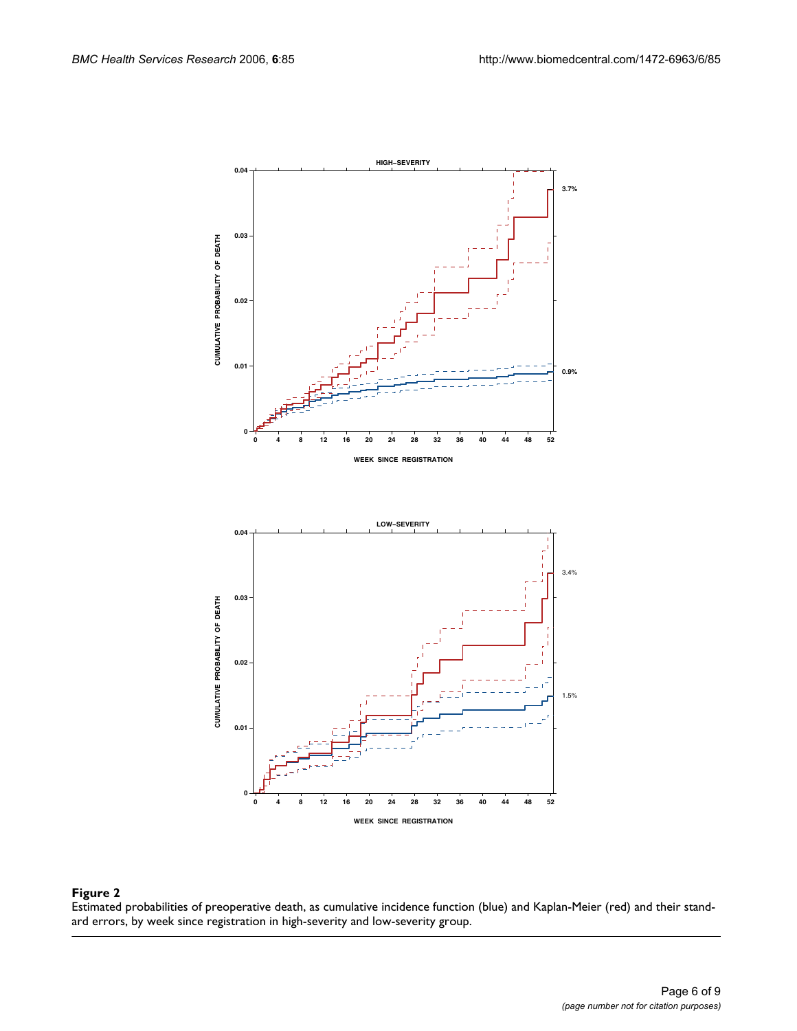

#### Estimated probabilities of preoperative deat ard errors, by week since registration in high-severity and low-severity group **Figure 2** h, as cumulative incidence function (blue) and Kaplan-Meier (red) and their stand-

Estimated probabilities of preoperative death, as cumulative incidence function (blue) and Kaplan-Meier (red) and their standard errors, by week since registration in high-severity and low-severity group.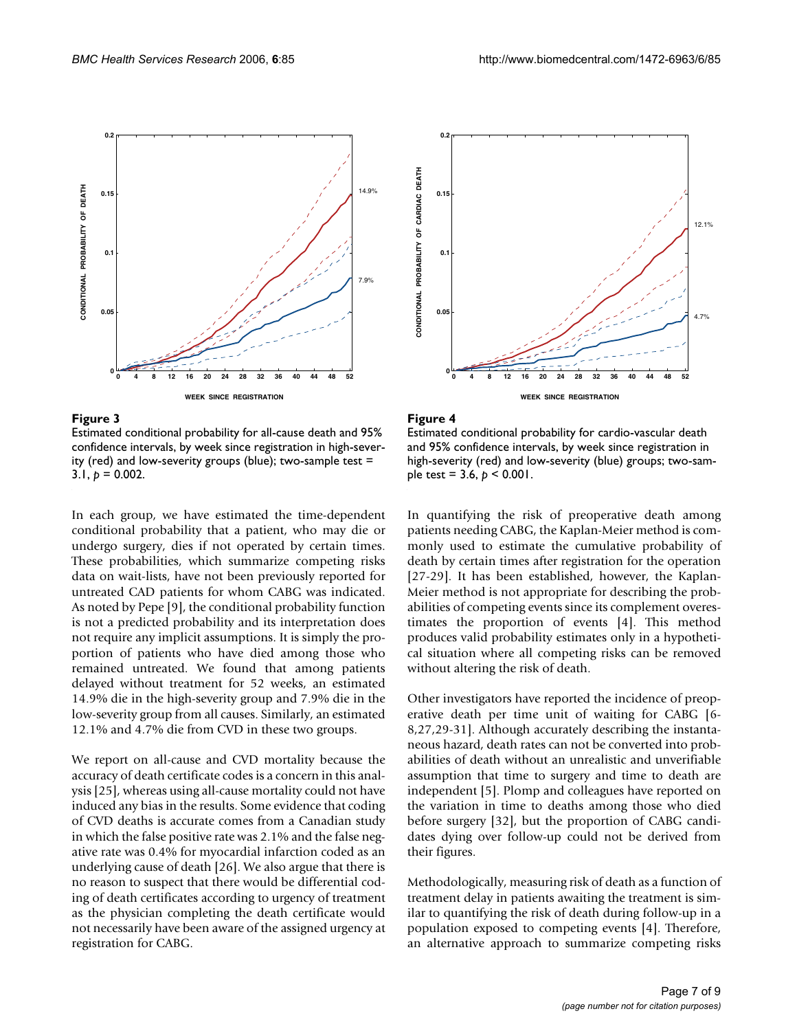

#### Figure 3

Estimated conditional probability for all-cause death and 95% confidence intervals, by week since registration in high-severity (red) and low-severity groups (blue); two-sample test = 3.1,  $p = 0.002$ .

In each group, we have estimated the time-dependent conditional probability that a patient, who may die or undergo surgery, dies if not operated by certain times. These probabilities, which summarize competing risks data on wait-lists, have not been previously reported for untreated CAD patients for whom CABG was indicated. As noted by Pepe [9], the conditional probability function is not a predicted probability and its interpretation does not require any implicit assumptions. It is simply the proportion of patients who have died among those who remained untreated. We found that among patients delayed without treatment for 52 weeks, an estimated 14.9% die in the high-severity group and 7.9% die in the low-severity group from all causes. Similarly, an estimated 12.1% and 4.7% die from CVD in these two groups.

We report on all-cause and CVD mortality because the accuracy of death certificate codes is a concern in this analysis [25], whereas using all-cause mortality could not have induced any bias in the results. Some evidence that coding of CVD deaths is accurate comes from a Canadian study in which the false positive rate was 2.1% and the false negative rate was 0.4% for myocardial infarction coded as an underlying cause of death [26]. We also argue that there is no reason to suspect that there would be differential coding of death certificates according to urgency of treatment as the physician completing the death certificate would not necessarily have been aware of the assigned urgency at registration for CABG.



#### Figure 4

Estimated conditional probability for cardio-vascular death and 95% confidence intervals, by week since registration in high-severity (red) and low-severity (blue) groups; two-sample test = 3.6, *p* < 0.001.

In quantifying the risk of preoperative death among patients needing CABG, the Kaplan-Meier method is commonly used to estimate the cumulative probability of death by certain times after registration for the operation [27-29]. It has been established, however, the Kaplan-Meier method is not appropriate for describing the probabilities of competing events since its complement overestimates the proportion of events [4]. This method produces valid probability estimates only in a hypothetical situation where all competing risks can be removed without altering the risk of death.

Other investigators have reported the incidence of preoperative death per time unit of waiting for CABG [6- 8,27,29-31]. Although accurately describing the instantaneous hazard, death rates can not be converted into probabilities of death without an unrealistic and unverifiable assumption that time to surgery and time to death are independent [5]. Plomp and colleagues have reported on the variation in time to deaths among those who died before surgery [32], but the proportion of CABG candidates dying over follow-up could not be derived from their figures.

Methodologically, measuring risk of death as a function of treatment delay in patients awaiting the treatment is similar to quantifying the risk of death during follow-up in a population exposed to competing events [4]. Therefore, an alternative approach to summarize competing risks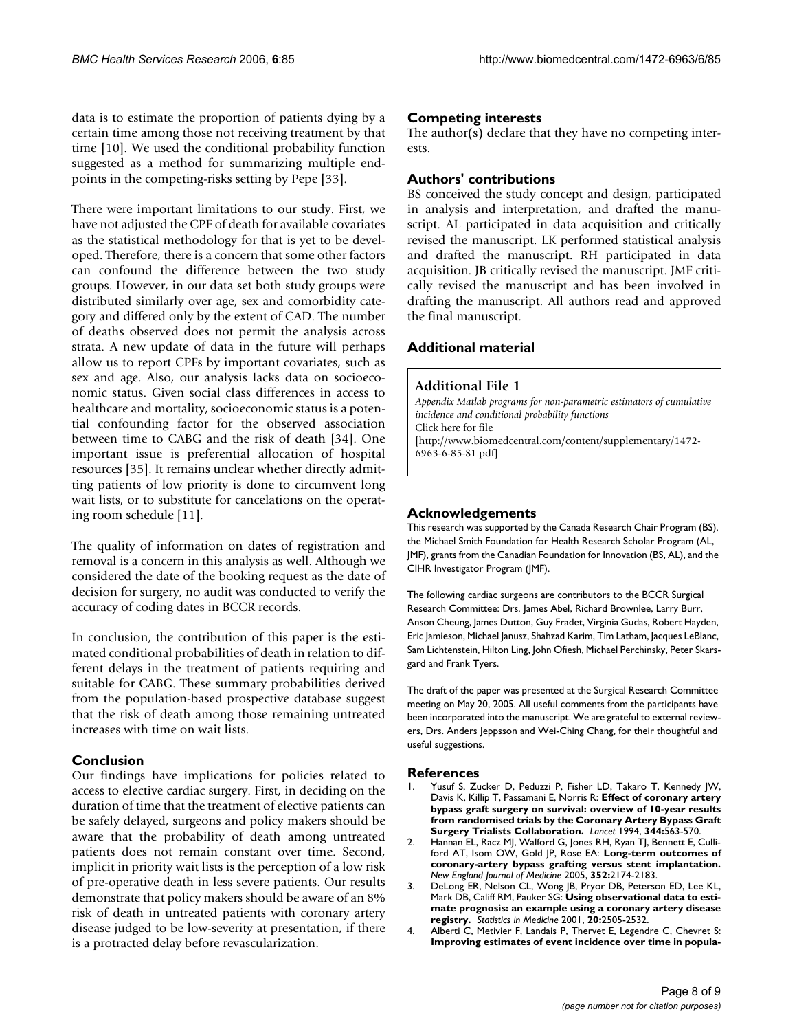data is to estimate the proportion of patients dying by a certain time among those not receiving treatment by that time [10]. We used the conditional probability function suggested as a method for summarizing multiple endpoints in the competing-risks setting by Pepe [33].

There were important limitations to our study. First, we have not adjusted the CPF of death for available covariates as the statistical methodology for that is yet to be developed. Therefore, there is a concern that some other factors can confound the difference between the two study groups. However, in our data set both study groups were distributed similarly over age, sex and comorbidity category and differed only by the extent of CAD. The number of deaths observed does not permit the analysis across strata. A new update of data in the future will perhaps allow us to report CPFs by important covariates, such as sex and age. Also, our analysis lacks data on socioeconomic status. Given social class differences in access to healthcare and mortality, socioeconomic status is a potential confounding factor for the observed association between time to CABG and the risk of death [34]. One important issue is preferential allocation of hospital resources [35]. It remains unclear whether directly admitting patients of low priority is done to circumvent long wait lists, or to substitute for cancelations on the operating room schedule [11].

The quality of information on dates of registration and removal is a concern in this analysis as well. Although we considered the date of the booking request as the date of decision for surgery, no audit was conducted to verify the accuracy of coding dates in BCCR records.

In conclusion, the contribution of this paper is the estimated conditional probabilities of death in relation to different delays in the treatment of patients requiring and suitable for CABG. These summary probabilities derived from the population-based prospective database suggest that the risk of death among those remaining untreated increases with time on wait lists.

## **Conclusion**

Our findings have implications for policies related to access to elective cardiac surgery. First, in deciding on the duration of time that the treatment of elective patients can be safely delayed, surgeons and policy makers should be aware that the probability of death among untreated patients does not remain constant over time. Second, implicit in priority wait lists is the perception of a low risk of pre-operative death in less severe patients. Our results demonstrate that policy makers should be aware of an 8% risk of death in untreated patients with coronary artery disease judged to be low-severity at presentation, if there is a protracted delay before revascularization.

## **Competing interests**

The author(s) declare that they have no competing interests.

## **Authors' contributions**

BS conceived the study concept and design, participated in analysis and interpretation, and drafted the manuscript. AL participated in data acquisition and critically revised the manuscript. LK performed statistical analysis and drafted the manuscript. RH participated in data acquisition. JB critically revised the manuscript. JMF critically revised the manuscript and has been involved in drafting the manuscript. All authors read and approved the final manuscript.

## **Additional material**

#### **Additional File 1**

*Appendix Matlab programs for non-parametric estimators of cumulative incidence and conditional probability functions* Click here for file [\[http://www.biomedcentral.com/content/supplementary/1472-](http://www.biomedcentral.com/content/supplementary/1472-6963-6-85-S1.pdf) 6963-6-85-S1.pdf]

## **Acknowledgements**

This research was supported by the Canada Research Chair Program (BS), the Michael Smith Foundation for Health Research Scholar Program (AL, JMF), grants from the Canadian Foundation for Innovation (BS, AL), and the CIHR Investigator Program (JMF).

The following cardiac surgeons are contributors to the BCCR Surgical Research Committee: Drs. James Abel, Richard Brownlee, Larry Burr, Anson Cheung, James Dutton, Guy Fradet, Virginia Gudas, Robert Hayden, Eric Jamieson, Michael Janusz, Shahzad Karim, Tim Latham, Jacques LeBlanc, Sam Lichtenstein, Hilton Ling, John Ofiesh, Michael Perchinsky, Peter Skarsgard and Frank Tyers.

The draft of the paper was presented at the Surgical Research Committee meeting on May 20, 2005. All useful comments from the participants have been incorporated into the manuscript. We are grateful to external reviewers, Drs. Anders Jeppsson and Wei-Ching Chang, for their thoughtful and useful suggestions.

#### **References**

- 1. Yusuf S, Zucker D, Peduzzi P, Fisher LD, Takaro T, Kennedy JW, Davis K, Killip T, Passamani E, Norris R: **[Effect of coronary artery](http://www.ncbi.nlm.nih.gov/entrez/query.fcgi?cmd=Retrieve&db=PubMed&dopt=Abstract&list_uids=7914958) [bypass graft surgery on survival: overview of 10-year results](http://www.ncbi.nlm.nih.gov/entrez/query.fcgi?cmd=Retrieve&db=PubMed&dopt=Abstract&list_uids=7914958) from randomised trials by the Coronary Artery Bypass Graft [Surgery Trialists Collaboration.](http://www.ncbi.nlm.nih.gov/entrez/query.fcgi?cmd=Retrieve&db=PubMed&dopt=Abstract&list_uids=7914958)** *Lancet* 1994, **344:**563-570.
- 2. Hannan EL, Racz MJ, Walford G, Jones RH, Ryan TJ, Bennett E, Culliford AT, Isom OW, Gold JP, Rose EA: **[Long-term outcomes of](http://www.ncbi.nlm.nih.gov/entrez/query.fcgi?cmd=Retrieve&db=PubMed&dopt=Abstract&list_uids=15917382) [coronary-artery bypass grafting versus stent implantation.](http://www.ncbi.nlm.nih.gov/entrez/query.fcgi?cmd=Retrieve&db=PubMed&dopt=Abstract&list_uids=15917382)** *New England Journal of Medicine* 2005, **352:**2174-2183.
- DeLong ER, Nelson CL, Wong JB, Pryor DB, Peterson ED, Lee KL, Mark DB, Califf RM, Pauker SG: **[Using observational data to esti](http://www.ncbi.nlm.nih.gov/entrez/query.fcgi?cmd=Retrieve&db=PubMed&dopt=Abstract&list_uids=11512139)[mate prognosis: an example using a coronary artery disease](http://www.ncbi.nlm.nih.gov/entrez/query.fcgi?cmd=Retrieve&db=PubMed&dopt=Abstract&list_uids=11512139) [registry.](http://www.ncbi.nlm.nih.gov/entrez/query.fcgi?cmd=Retrieve&db=PubMed&dopt=Abstract&list_uids=11512139)** *Statistics in Medicine* 2001, **20:**2505-2532.
- 4. Alberti C, Metivier F, Landais P, Thervet E, Legendre C, Chevret S: **[Improving estimates of event incidence over time in popula](http://www.ncbi.nlm.nih.gov/entrez/query.fcgi?cmd=Retrieve&db=PubMed&dopt=Abstract&list_uids=12873648)-**